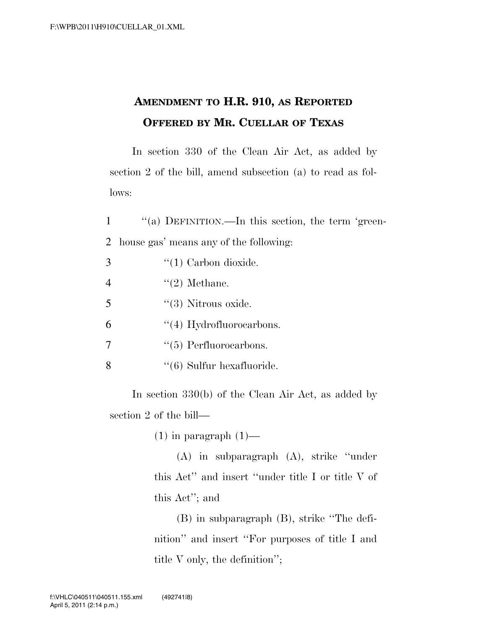## **AMENDMENT TO H.R. 910, AS REPORTED OFFERED BY MR. CUELLAR OF TEXAS**

In section 330 of the Clean Air Act, as added by section 2 of the bill, amend subsection (a) to read as follows:

1 ''(a) DEFINITION.—In this section, the term 'green-2 house gas' means any of the following:

| 3              | $\lq(1)$ Carbon dioxide.      |
|----------------|-------------------------------|
| $\overline{4}$ | $\lq(2)$ Methane.             |
| 5              | $\lq(3)$ Nitrous oxide.       |
| 6              | $\lq(4)$ Hydrofluorocarbons.  |
| 7              | $\lq(5)$ Perfluorocarbons.    |
| 8              | $\lq(6)$ Sulfur hexafluoride. |

In section 330(b) of the Clean Air Act, as added by section 2 of the bill—

 $(1)$  in paragraph  $(1)$ —

(A) in subparagraph (A), strike ''under this Act'' and insert ''under title I or title V of this Act''; and

(B) in subparagraph (B), strike ''The definition'' and insert ''For purposes of title I and title V only, the definition'';